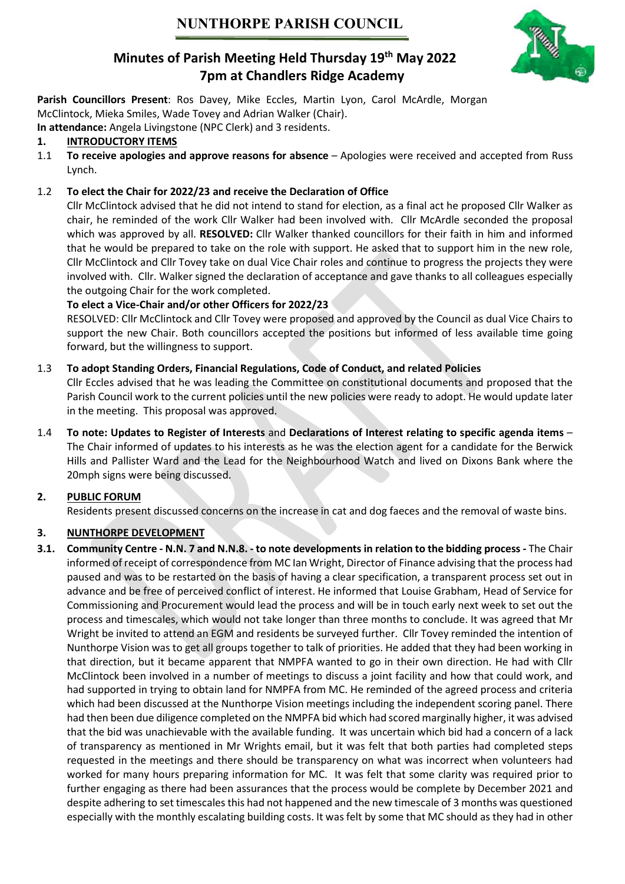

# Minutes of Parish Meeting Held Thursday 19<sup>th</sup> May 2022 7pm at Chandlers Ridge Academy

Parish Councillors Present: Ros Davey, Mike Eccles, Martin Lyon, Carol McArdle, Morgan McClintock, Mieka Smiles, Wade Tovey and Adrian Walker (Chair).

In attendance: Angela Livingstone (NPC Clerk) and 3 residents.

# 1. INTRODUCTORY ITEMS

1.1 To receive apologies and approve reasons for absence – Apologies were received and accepted from Russ Lynch.

# 1.2 To elect the Chair for 2022/23 and receive the Declaration of Office

Cllr McClintock advised that he did not intend to stand for election, as a final act he proposed Cllr Walker as chair, he reminded of the work Cllr Walker had been involved with. Cllr McArdle seconded the proposal which was approved by all. RESOLVED: Cllr Walker thanked councillors for their faith in him and informed that he would be prepared to take on the role with support. He asked that to support him in the new role, Cllr McClintock and Cllr Tovey take on dual Vice Chair roles and continue to progress the projects they were involved with. Cllr. Walker signed the declaration of acceptance and gave thanks to all colleagues especially the outgoing Chair for the work completed.

# To elect a Vice-Chair and/or other Officers for 2022/23

RESOLVED: Cllr McClintock and Cllr Tovey were proposed and approved by the Council as dual Vice Chairs to support the new Chair. Both councillors accepted the positions but informed of less available time going forward, but the willingness to support.

# 1.3 To adopt Standing Orders, Financial Regulations, Code of Conduct, and related Policies

Cllr Eccles advised that he was leading the Committee on constitutional documents and proposed that the Parish Council work to the current policies until the new policies were ready to adopt. He would update later in the meeting. This proposal was approved.

1.4 To note: Updates to Register of Interests and Declarations of Interest relating to specific agenda items – The Chair informed of updates to his interests as he was the election agent for a candidate for the Berwick Hills and Pallister Ward and the Lead for the Neighbourhood Watch and lived on Dixons Bank where the 20mph signs were being discussed.

# 2. PUBLIC FORUM

Residents present discussed concerns on the increase in cat and dog faeces and the removal of waste bins.

# 3. NUNTHORPE DEVELOPMENT

3.1. Community Centre - N.N. 7 and N.N.8. - to note developments in relation to the bidding process - The Chair informed of receipt of correspondence from MC Ian Wright, Director of Finance advising that the process had paused and was to be restarted on the basis of having a clear specification, a transparent process set out in advance and be free of perceived conflict of interest. He informed that Louise Grabham, Head of Service for Commissioning and Procurement would lead the process and will be in touch early next week to set out the process and timescales, which would not take longer than three months to conclude. It was agreed that Mr Wright be invited to attend an EGM and residents be surveyed further. Cllr Tovey reminded the intention of Nunthorpe Vision was to get all groups together to talk of priorities. He added that they had been working in that direction, but it became apparent that NMPFA wanted to go in their own direction. He had with Cllr McClintock been involved in a number of meetings to discuss a joint facility and how that could work, and had supported in trying to obtain land for NMPFA from MC. He reminded of the agreed process and criteria which had been discussed at the Nunthorpe Vision meetings including the independent scoring panel. There had then been due diligence completed on the NMPFA bid which had scored marginally higher, it was advised that the bid was unachievable with the available funding. It was uncertain which bid had a concern of a lack of transparency as mentioned in Mr Wrights email, but it was felt that both parties had completed steps requested in the meetings and there should be transparency on what was incorrect when volunteers had worked for many hours preparing information for MC. It was felt that some clarity was required prior to further engaging as there had been assurances that the process would be complete by December 2021 and despite adhering to set timescales this had not happened and the new timescale of 3 months was questioned especially with the monthly escalating building costs. It was felt by some that MC should as they had in other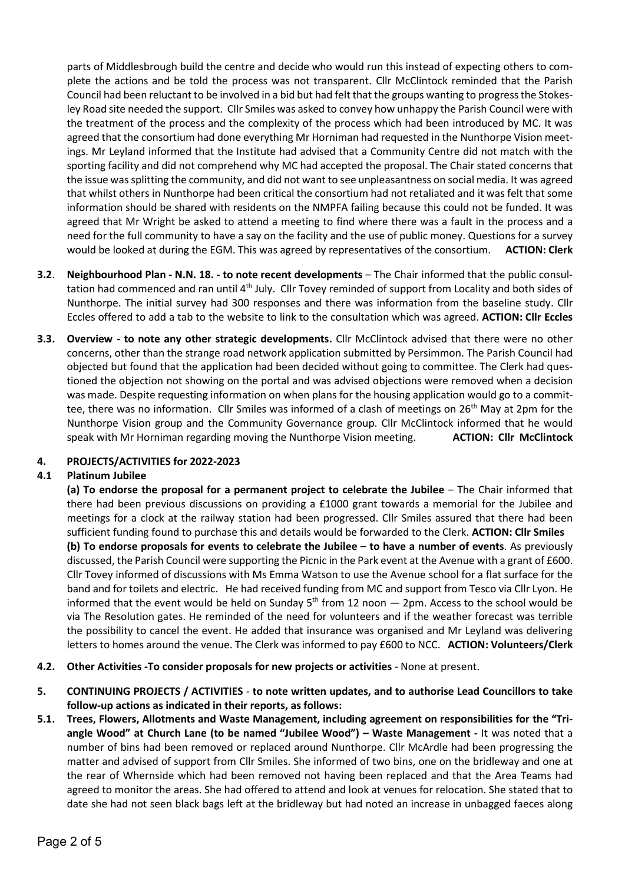parts of Middlesbrough build the centre and decide who would run this instead of expecting others to complete the actions and be told the process was not transparent. Cllr McClintock reminded that the Parish Council had been reluctant to be involved in a bid but had felt that the groups wanting to progress the Stokesley Road site needed the support. Cllr Smiles was asked to convey how unhappy the Parish Council were with the treatment of the process and the complexity of the process which had been introduced by MC. It was agreed that the consortium had done everything Mr Horniman had requested in the Nunthorpe Vision meetings. Mr Leyland informed that the Institute had advised that a Community Centre did not match with the sporting facility and did not comprehend why MC had accepted the proposal. The Chair stated concerns that the issue was splitting the community, and did not want to see unpleasantness on social media. It was agreed that whilst others in Nunthorpe had been critical the consortium had not retaliated and it was felt that some information should be shared with residents on the NMPFA failing because this could not be funded. It was agreed that Mr Wright be asked to attend a meeting to find where there was a fault in the process and a need for the full community to have a say on the facility and the use of public money. Questions for a survey would be looked at during the EGM. This was agreed by representatives of the consortium. ACTION: Clerk

- 3.2. Neighbourhood Plan N.N. 18. to note recent developments The Chair informed that the public consultation had commenced and ran until 4<sup>th</sup> July. Cllr Tovey reminded of support from Locality and both sides of Nunthorpe. The initial survey had 300 responses and there was information from the baseline study. Cllr Eccles offered to add a tab to the website to link to the consultation which was agreed. ACTION: Cllr Eccles
- 3.3. Overview to note any other strategic developments. Cllr McClintock advised that there were no other concerns, other than the strange road network application submitted by Persimmon. The Parish Council had objected but found that the application had been decided without going to committee. The Clerk had questioned the objection not showing on the portal and was advised objections were removed when a decision was made. Despite requesting information on when plans for the housing application would go to a committee, there was no information. Cllr Smiles was informed of a clash of meetings on 26<sup>th</sup> May at 2pm for the Nunthorpe Vision group and the Community Governance group. Cllr McClintock informed that he would speak with Mr Horniman regarding moving the Nunthorpe Vision meeting. **ACTION: Cllr McClintock**

#### 4. PROJECTS/ACTIVITIES for 2022-2023

#### 4.1 Platinum Jubilee

(a) To endorse the proposal for a permanent project to celebrate the Jubilee – The Chair informed that there had been previous discussions on providing a £1000 grant towards a memorial for the Jubilee and meetings for a clock at the railway station had been progressed. Cllr Smiles assured that there had been sufficient funding found to purchase this and details would be forwarded to the Clerk. **ACTION: Clir Smiles**  (b) To endorse proposals for events to celebrate the Jubilee – to have a number of events. As previously discussed, the Parish Council were supporting the Picnic in the Park event at the Avenue with a grant of £600. Cllr Tovey informed of discussions with Ms Emma Watson to use the Avenue school for a flat surface for the band and for toilets and electric. He had received funding from MC and support from Tesco via Cllr Lyon. He informed that the event would be held on Sunday  $5<sup>th</sup>$  from 12 noon  $-$  2pm. Access to the school would be via The Resolution gates. He reminded of the need for volunteers and if the weather forecast was terrible the possibility to cancel the event. He added that insurance was organised and Mr Leyland was delivering letters to homes around the venue. The Clerk was informed to pay £600 to NCC. ACTION: Volunteers/Clerk

- 4.2. Other Activities -To consider proposals for new projects or activities None at present.
- 5. CONTINUING PROJECTS / ACTIVITIES to note written updates, and to authorise Lead Councillors to take follow-up actions as indicated in their reports, as follows:
- 5.1. Trees, Flowers, Allotments and Waste Management, including agreement on responsibilities for the "Triangle Wood" at Church Lane (to be named "Jubilee Wood") – Waste Management - It was noted that a number of bins had been removed or replaced around Nunthorpe. Cllr McArdle had been progressing the matter and advised of support from Cllr Smiles. She informed of two bins, one on the bridleway and one at the rear of Whernside which had been removed not having been replaced and that the Area Teams had agreed to monitor the areas. She had offered to attend and look at venues for relocation. She stated that to date she had not seen black bags left at the bridleway but had noted an increase in unbagged faeces along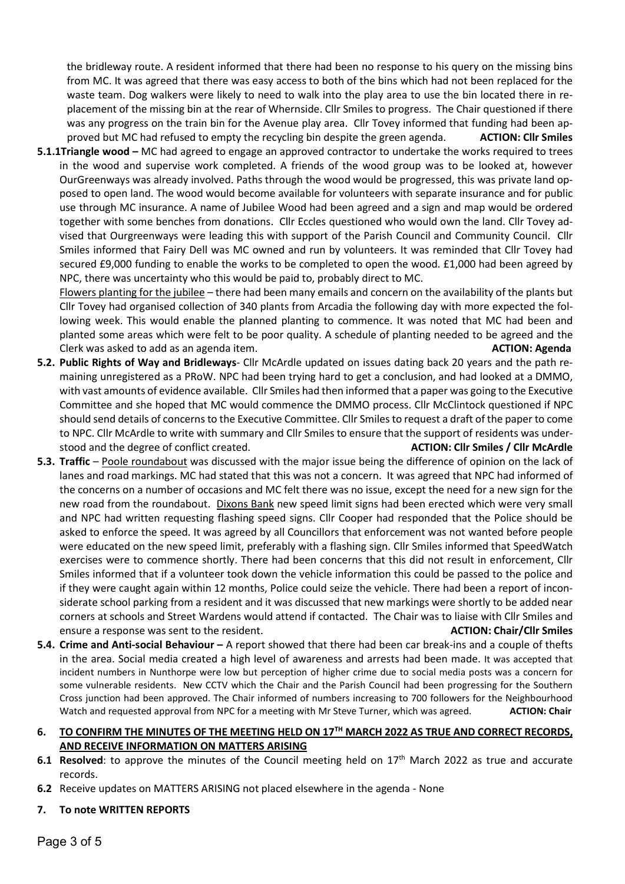the bridleway route. A resident informed that there had been no response to his query on the missing bins from MC. It was agreed that there was easy access to both of the bins which had not been replaced for the waste team. Dog walkers were likely to need to walk into the play area to use the bin located there in replacement of the missing bin at the rear of Whernside. Cllr Smiles to progress. The Chair questioned if there was any progress on the train bin for the Avenue play area. Cllr Tovey informed that funding had been approved but MC had refused to empty the recycling bin despite the green agenda. ACTION: Cllr Smiles

5.1.1Triangle wood – MC had agreed to engage an approved contractor to undertake the works required to trees in the wood and supervise work completed. A friends of the wood group was to be looked at, however OurGreenways was already involved. Paths through the wood would be progressed, this was private land opposed to open land. The wood would become available for volunteers with separate insurance and for public use through MC insurance. A name of Jubilee Wood had been agreed and a sign and map would be ordered together with some benches from donations. Cllr Eccles questioned who would own the land. Cllr Tovey advised that Ourgreenways were leading this with support of the Parish Council and Community Council. Cllr Smiles informed that Fairy Dell was MC owned and run by volunteers. It was reminded that Cllr Tovey had secured £9,000 funding to enable the works to be completed to open the wood. £1,000 had been agreed by NPC, there was uncertainty who this would be paid to, probably direct to MC.

 Flowers planting for the jubilee – there had been many emails and concern on the availability of the plants but Cllr Tovey had organised collection of 340 plants from Arcadia the following day with more expected the following week. This would enable the planned planting to commence. It was noted that MC had been and planted some areas which were felt to be poor quality. A schedule of planting needed to be agreed and the Clerk was asked to add as an agenda item. ACTION: Agenda item.

- 5.2. Public Rights of Way and Bridleways- Cllr McArdle updated on issues dating back 20 years and the path remaining unregistered as a PRoW. NPC had been trying hard to get a conclusion, and had looked at a DMMO, with vast amounts of evidence available. Cllr Smiles had then informed that a paper was going to the Executive Committee and she hoped that MC would commence the DMMO process. Cllr McClintock questioned if NPC should send details of concerns to the Executive Committee. Cllr Smiles to request a draft of the paper to come to NPC. Cllr McArdle to write with summary and Cllr Smiles to ensure that the support of residents was understood and the degree of conflict created. ACTION: Cllr Smiles / Cllr McArdle
- 5.3. Traffic Poole roundabout was discussed with the major issue being the difference of opinion on the lack of lanes and road markings. MC had stated that this was not a concern. It was agreed that NPC had informed of the concerns on a number of occasions and MC felt there was no issue, except the need for a new sign for the new road from the roundabout. Dixons Bank new speed limit signs had been erected which were very small and NPC had written requesting flashing speed signs. Cllr Cooper had responded that the Police should be asked to enforce the speed. It was agreed by all Councillors that enforcement was not wanted before people were educated on the new speed limit, preferably with a flashing sign. Cllr Smiles informed that SpeedWatch exercises were to commence shortly. There had been concerns that this did not result in enforcement, Cllr Smiles informed that if a volunteer took down the vehicle information this could be passed to the police and if they were caught again within 12 months, Police could seize the vehicle. There had been a report of inconsiderate school parking from a resident and it was discussed that new markings were shortly to be added near corners at schools and Street Wardens would attend if contacted. The Chair was to liaise with Cllr Smiles and ensure a response was sent to the resident. Action of the sense is a sense of the smiles ensure a response was
- 5.4. Crime and Anti-social Behaviour A report showed that there had been car break-ins and a couple of thefts in the area. Social media created a high level of awareness and arrests had been made. It was accepted that incident numbers in Nunthorpe were low but perception of higher crime due to social media posts was a concern for some vulnerable residents. New CCTV which the Chair and the Parish Council had been progressing for the Southern Cross junction had been approved. The Chair informed of numbers increasing to 700 followers for the Neighbourhood Watch and requested approval from NPC for a meeting with Mr Steve Turner, which was agreed. **ACTION: Chair**

### 6. TO CONFIRM THE MINUTES OF THE MEETING HELD ON 17<sup>TH</sup> MARCH 2022 AS TRUE AND CORRECT RECORDS, AND RECEIVE INFORMATION ON MATTERS ARISING

- 6.1 Resolved: to approve the minutes of the Council meeting held on 17<sup>th</sup> March 2022 as true and accurate records.
- 6.2 Receive updates on MATTERS ARISING not placed elsewhere in the agenda None

### 7. To note WRITTEN REPORTS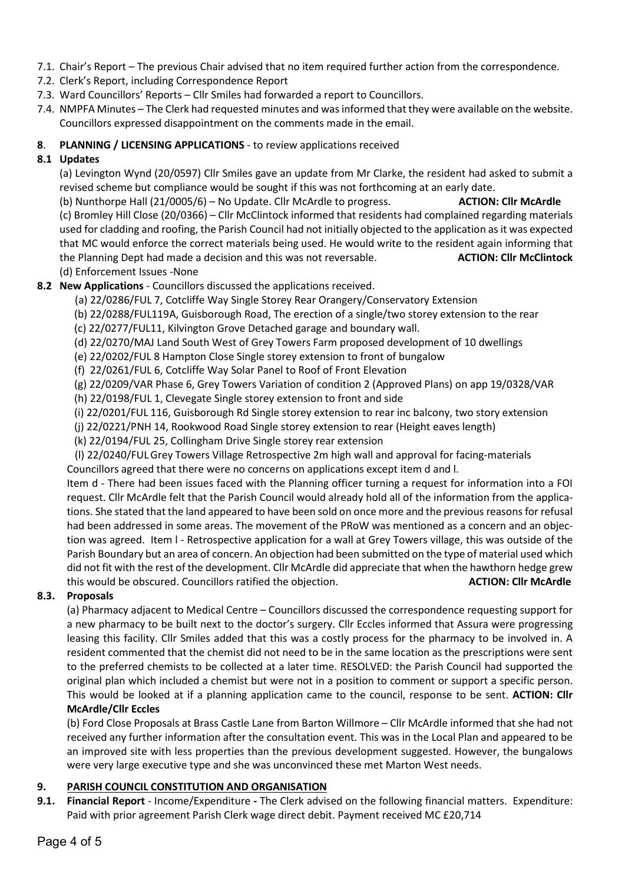- 7.1. Chair's Report The previous Chair advised that no item required further action from the correspondence.
- 7.2. Clerk's Report, including Correspondence Report
- 7.3. Ward Councillors' Reports Cllr Smiles had forwarded a report to Councillors.
- 7.4. NMPFA Minutes The Clerk had requested minutes and was informed that they were available on the website. Councillors expressed disappointment on the comments made in the email.

#### 8. PLANNING / LICENSING APPLICATIONS - to review applications received

### 8.1 Updates

 (a) Levington Wynd (20/0597) Cllr Smiles gave an update from Mr Clarke, the resident had asked to submit a revised scheme but compliance would be sought if this was not forthcoming at an early date.

(b) Nunthorpe Hall (21/0005/6) – No Update. Cllr McArdle to progress. ACTION: Cllr McArdle (c) Bromley Hill Close (20/0366) – Cllr McClintock informed that residents had complained regarding materials used for cladding and roofing, the Parish Council had not initially objected to the application as it was expected that MC would enforce the correct materials being used. He would write to the resident again informing that the Planning Dept had made a decision and this was not reversable. ACTION: Cllr McClintock (d) Enforcement Issues -None

### 8.2 New Applications - Councillors discussed the applications received.

- (a) 22/0286/FUL 7, Cotcliffe Way Single Storey Rear Orangery/Conservatory Extension
- (b) 22/0288/FUL119A, Guisborough Road, The erection of a single/two storey extension to the rear
- (c) 22/0277/FUL11, Kilvington Grove Detached garage and boundary wall.
- (d) 22/0270/MAJ Land South West of Grey Towers Farm proposed development of 10 dwellings
- (e) 22/0202/FUL 8 Hampton Close Single storey extension to front of bungalow
- (f) 22/0261/FUL 6, Cotcliffe Way Solar Panel to Roof of Front Elevation
- (g) 22/0209/VAR Phase 6, Grey Towers Variation of condition 2 (Approved Plans) on app 19/0328/VAR
- (h) 22/0198/FUL 1, Clevegate Single storey extension to front and side
- (i) 22/0201/FUL 116, Guisborough Rd Single storey extension to rear inc balcony, two story extension
- (j) 22/0221/PNH 14, Rookwood Road Single storey extension to rear (Height eaves length)
- (k) 22/0194/FUL 25, Collingham Drive Single storey rear extension
- (l) 22/0240/FUL Grey Towers Village Retrospective 2m high wall and approval for facing-materials Councillors agreed that there were no concerns on applications except item d and l.

Item d - There had been issues faced with the Planning officer turning a request for information into a FOI request. Cllr McArdle felt that the Parish Council would already hold all of the information from the applications. She stated that the land appeared to have been sold on once more and the previous reasons for refusal had been addressed in some areas. The movement of the PRoW was mentioned as a concern and an objection was agreed. Item l - Retrospective application for a wall at Grey Towers village, this was outside of the Parish Boundary but an area of concern. An objection had been submitted on the type of material used which did not fit with the rest of the development. Cllr McArdle did appreciate that when the hawthorn hedge grew this would be obscured. Councillors ratified the objection. ACTION: Cllr McArdle

#### 8.3. Proposals

(a) Pharmacy adjacent to Medical Centre – Councillors discussed the correspondence requesting support for a new pharmacy to be built next to the doctor's surgery. Cllr Eccles informed that Assura were progressing leasing this facility. Cllr Smiles added that this was a costly process for the pharmacy to be involved in. A resident commented that the chemist did not need to be in the same location as the prescriptions were sent to the preferred chemists to be collected at a later time. RESOLVED: the Parish Council had supported the original plan which included a chemist but were not in a position to comment or support a specific person. This would be looked at if a planning application came to the council, response to be sent. ACTION: Cllr McArdle/Cllr Eccles

(b) Ford Close Proposals at Brass Castle Lane from Barton Willmore – Cllr McArdle informed that she had not received any further information after the consultation event. This was in the Local Plan and appeared to be an improved site with less properties than the previous development suggested. However, the bungalows were very large executive type and she was unconvinced these met Marton West needs.

#### 9. PARISH COUNCIL CONSTITUTION AND ORGANISATION

9.1. Financial Report - Income/Expenditure - The Clerk advised on the following financial matters. Expenditure: Paid with prior agreement Parish Clerk wage direct debit. Payment received MC £20,714